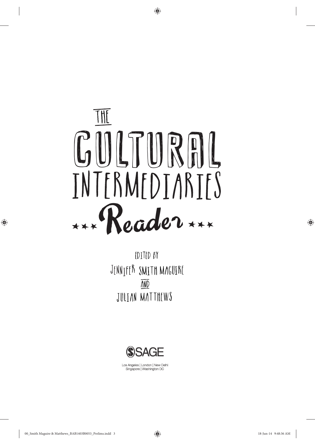

◈

 $Tr(i)$   $\mathbf{r}$   $\mathbf{r}$   $\mathbf{r}$   $\mathbf{r}$   $\mathbf{r}$   $\mathbf{r}$   $\mathbf{r}$   $\mathbf{r}$   $\mathbf{r}$   $\mathbf{r}$   $\mathbf{r}$   $\mathbf{r}$   $\mathbf{r}$   $\mathbf{r}$   $\mathbf{r}$   $\mathbf{r}$   $\mathbf{r}$   $\mathbf{r}$   $\mathbf{r}$   $\mathbf{r}$   $\mathbf{r}$   $\mathbf{r}$   $\mathbf{r}$   $\mathbf{r}$ JULTAN MATTHEWS **AND** EDITED BY



Los Angeles | London | New Delhi Singapore | Washington DC

◈

◈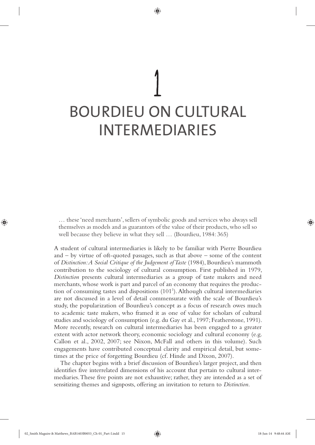# BOURDIEU ON CULTURAL INTERMEDIARIES

◈

… these 'need merchants', sellers of symbolic goods and services who always sell themselves as models and as guarantors of the value of their products, who sell so well because they believe in what they sell … (Bourdieu, 1984: 365)

A student of cultural intermediaries is likely to be familiar with Pierre Bourdieu and – by virtue of oft-quoted passages, such as that above – some of the content of *Distinction: A Social Critique of the Judgement of Taste* (1984), Bourdieu's mammoth contribution to the sociology of cultural consumption. First published in 1979, *Distinction* presents cultural intermediaries as a group of taste makers and need merchants, whose work is part and parcel of an economy that requires the production of consuming tastes and dispositions (101<sup>1</sup>). Although cultural intermediaries are not discussed in a level of detail commensurate with the scale of Bourdieu's study, the popularization of Bourdieu's concept as a focus of research owes much to academic taste makers, who framed it as one of value for scholars of cultural studies and sociology of consumption (e.g. du Gay et al., 1997; Featherstone, 1991). More recently, research on cultural intermediaries has been engaged to a greater extent with actor network theory, economic sociology and cultural economy (e.g. Callon et al., 2002, 2007; see Nixon, McFall and others in this volume). Such engagements have contributed conceptual clarity and empirical detail, but sometimes at the price of forgetting Bourdieu (cf. Hinde and Dixon, 2007).

The chapter begins with a brief discussion of Bourdieu's larger project, and then identifies five interrelated dimensions of his account that pertain to cultural intermediaries. These five points are not exhaustive; rather, they are intended as a set of sensitizing themes and signposts, offering an invitation to return to *Distinction*.

02\_Smith Maguire & Matthews\_BAB1403B0053\_Ch-01\_Part-I.indd 15 18-Jun-14 9:48:44 AM

♠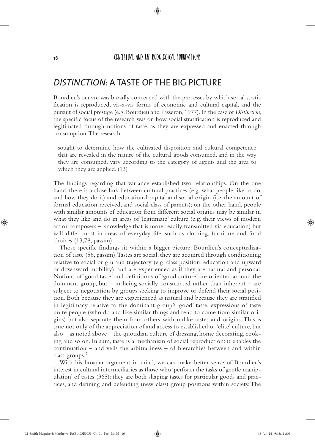◈

## *DISTINCTION*: A TASTE OF THE BIG PICTURE

Bourdieu's oeuvre was broadly concerned with the processes by which social stratification is reproduced, vis-à-vis forms of economic and cultural capital, and the pursuit of social prestige (e.g. Bourdieu and Passeron, 1977). In the case of *Distinction*, the specific focus of the research was on how social stratification is reproduced and legitimated through notions of taste, as they are expressed and enacted through consumption. The research

sought to determine how the cultivated disposition and cultural competence that are revealed in the nature of the cultural goods consumed, and in the way they are consumed, vary according to the category of agents and the area to which they are applied. (13)

The findings regarding that variance established two relationships. On the one hand, there is a close link between cultural practices (e.g. what people like to do, and how they do it) and educational capital and social origin (i.e. the amount of formal education received, and social class of parents); on the other hand, people with similar amounts of education from different social origins may be similar in what they like and do in areas of 'legitimate' culture (e.g. their views of modern art or composers – knowledge that is more readily transmitted via education) but will differ most in areas of everyday life, such as clothing, furniture and food choices (13,78, passim).

Those specific findings sit within a bigger picture: Bourdieu's conceptualization of taste (56, passim). Tastes are social; they are acquired through conditioning relative to social origin and trajectory (e.g. class position, education and upward or downward mobility), and are experienced as if they are natural and personal. Notions of 'good taste' and definitions of 'good culture' are oriented around the dominant group, but – in being socially constructed rather than inherent – are subject to negotiation by groups seeking to improve or defend their social position. Both because they are experienced as natural and because they are stratified in legitimacy relative to the dominant group's 'good' taste, expressions of taste unite people (who do and like similar things and tend to come from similar origins) but also separate them from others with unlike tastes and origins. This is true not only of the appreciation of and access to established or 'elite' culture, but also – as noted above – the quotidian culture of dressing, home decorating, cooking and so on. In sum, taste is a mechanism of social reproduction: it enables the continuation – and veils the arbitrariness – of hierarchies between and within class groups.<sup>2</sup>

With his broader argument in mind, we can make better sense of Bourdieu's interest in cultural intermediaries as those who 'perform the tasks of gentle manipulation' of tastes (365): they are both shaping tastes for particular goods and practices, and defining and defending (new class) group positions within society. The

◈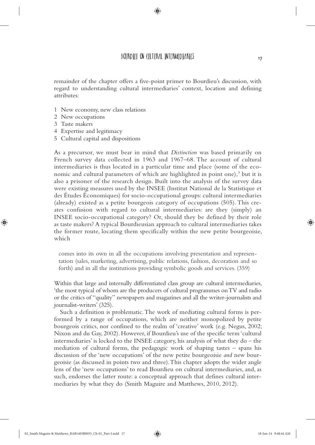BOURD IFIL ON CULTURAL INTERMEDIARIES

◈

remainder of the chapter offers a five-point primer to Bourdieu's discussion, with regard to understanding cultural intermediaries' context, location and defining attributes:

- 1 New economy, new class relations
- 2 New occupations
- 3 Taste makers

◈

- 4 Expertise and legitimacy
- 5 Cultural capital and dispositions

As a precursor, we must bear in mind that *Distinction* was based primarily on French survey data collected in 1963 and 1967–68. The account of cultural intermediaries is thus located in a particular time and place (some of the economic and cultural parameters of which are highlighted in point one),<sup>3</sup> but it is also a prisoner of the research design. Built into the analysis of the survey data were existing measures used by the INSEE (Institut National de la Statistique et des Études Économiques) for socio-occupational groups: cultural intermediaries (already) existed as a petite bourgeois category of occupations (505). This creates confusion with regard to cultural intermediaries: are they (simply) an INSEE socio-occupational category? Or, should they be defined by their role as taste makers? A typical Bourdieusian approach to cultural intermediaries takes the former route, locating them specifically within the new petite bourgeoisie, which

comes into its own in all the occupations involving presentation and representation (sales, marketing, advertising, public relations, fashion, decoration and so forth) and in all the institutions providing symbolic goods and services. (359)

Within that large and internally differentiated class group are cultural intermediaries, 'the most typical of whom are the producers of cultural programmes on TV and radio or the critics of "quality" newspapers and magazines and all the writer-journalists and journalist-writers' (325).

Such a definition is problematic. The work of mediating cultural forms is performed by a range of occupations, which are neither monopolized by petite bourgeois critics, nor confined to the realm of 'creative' work (e.g. Negus, 2002; Nixon and du Gay, 2002). However, if Bourdieu's use of the specific term 'cultural intermediaries' is locked to the INSEE category, his analysis of what they do – the mediation of cultural forms, the pedagogic work of shaping tastes – spans his discussion of the 'new occupations' of the new petite bourgeoisie *and* new bourgeoisie (as discussed in points two and three). This chapter adopts the wider angle lens of the 'new occupations' to read Bourdieu on cultural intermediaries, and, as such, endorses the latter route: a conceptual approach that defines cultural intermediaries by what they do (Smith Maguire and Matthews, 2010, 2012).

17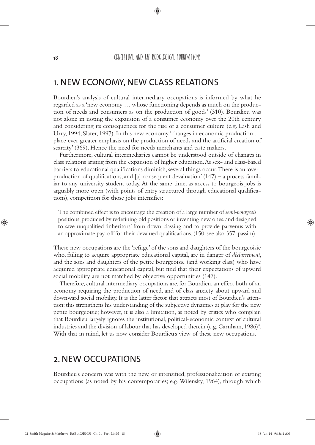◈

#### 1. NEW ECONOMY, NEW CLASS RELATIONS

Bourdieu's analysis of cultural intermediary occupations is informed by what he regarded as a 'new economy … whose functioning depends as much on the production of needs and consumers as on the production of goods' (310). Bourdieu was not alone in noting the expansion of a consumer economy over the 20th century and considering its consequences for the rise of a consumer culture (e.g. Lash and Urry, 1994; Slater, 1997). In this new economy, 'changes in economic production … place ever greater emphasis on the production of needs and the artificial creation of scarcity' (369). Hence the need for needs merchants and taste makers.

Furthermore, cultural intermediaries cannot be understood outside of changes in class relations arising from the expansion of higher education. As sex- and class-based barriers to educational qualifications diminish, several things occur. There is an 'overproduction of qualifications, and [a] consequent devaluation'  $(147)$  – a process familiar to any university student today. At the same time, as access to bourgeois jobs is arguably more open (with points of entry structured through educational qualifications), competition for those jobs intensifies:

The combined effect is to encourage the creation of a large number of *semi-bourgeois*  positions, produced by redefining old positions or inventing new ones, and designed to save unqualified 'inheritors' from down-classing and to provide parvenus with an approximate pay-off for their devalued qualifications. (150; see also 357, passim)

These new occupations are the 'refuge' of the sons and daughters of the bourgeoisie who, failing to acquire appropriate educational capital, are in danger of *déclassement*, and the sons and daughters of the petite bourgeoisie (and working class) who have acquired appropriate educational capital, but find that their expectations of upward social mobility are not matched by objective opportunities (147).

Therefore, cultural intermediary occupations are, for Bourdieu, an effect both of an economy requiring the production of need, and of class anxiety about upward and downward social mobility. It is the latter factor that attracts most of Bourdieu's attention: this strengthens his understanding of the subjective dynamics at play for the new petite bourgeoisie; however, it is also a limitation, as noted by critics who complain that Bourdieu largely ignores the institutional, political-economic context of cultural industries and the division of labour that has developed therein (e.g. Garnham,  $1986$ )<sup>4</sup>. With that in mind, let us now consider Bourdieu's view of these new occupations.

#### 2. NEW OCCUPATIONS

Bourdieu's concern was with the new, or intensified, professionalization of existing occupations (as noted by his contemporaries; e.g. Wilensky, 1964), through which

◈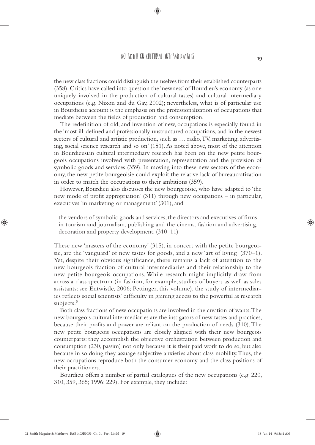#### BOURDIELL ON CULTURAL INTERMEDIARIES

the new class fractions could distinguish themselves from their established counterparts (358). Critics have called into question the 'newness' of Bourdieu's economy (as one uniquely involved in the production of cultural tastes) and cultural intermediary occupations (e.g. Nixon and du Gay, 2002); nevertheless, what is of particular use in Bourdieu's account is the emphasis on the professionalization of occupations that mediate between the fields of production and consumption.

The redefinition of old, and invention of new, occupations is especially found in the 'most ill-defined and professionally unstructured occupations, and in the newest sectors of cultural and artistic production, such as … radio, TV, marketing, advertising, social science research and so on' (151). As noted above, most of the attention in Bourdieusian cultural intermediary research has been on the new petite bourgeois occupations involved with presentation, representation and the provision of symbolic goods and services (359). In moving into these new sectors of the economy, the new petite bourgeoisie could exploit the relative lack of bureaucratization in order to match the occupations to their ambitions (359).

However, Bourdieu also discusses the new bourgeoisie, who have adapted to 'the new mode of profit appropriation' (311) through new occupations – in particular, executives 'in marketing or management' (301), and

the vendors of symbolic goods and services, the directors and executives of firms in tourism and journalism, publishing and the cinema, fashion and advertising, decoration and property development. (310–11)

These new 'masters of the economy' (315), in concert with the petite bourgeoisie, are the 'vanguard' of new tastes for goods, and a new 'art of living' (370–1). Yet, despite their obvious significance, there remains a lack of attention to the new bourgeois fraction of cultural intermediaries and their relationship to the new petite bourgeois occupations. While research might implicitly draw from across a class spectrum (in fashion, for example, studies of buyers as well as sales assistants: see Entwistle, 2006; Pettinger, this volume), the study of intermediaries reflects social scientists' difficulty in gaining access to the powerful as research subjects.<sup>5</sup>

Both class fractions of new occupations are involved in the creation of wants. The new bourgeois cultural intermediaries are the instigators of new tastes and practices, because their profits and power are reliant on the production of needs (310). The new petite bourgeois occupations are closely aligned with their new bourgeois counterparts: they accomplish the objective orchestration between production and consumption (230, passim) not only because it is their paid work to do so, but also because in so doing they assuage subjective anxieties about class mobility. Thus, the new occupations reproduce both the consumer economy and the class positions of their practitioners.

Bourdieu offers a number of partial catalogues of the new occupations (e.g. 220, 310, 359, 365; 1996: 229). For example, they include:

19

◈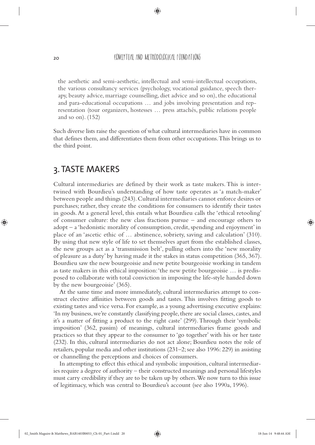◈

the aesthetic and semi-aesthetic, intellectual and semi-intellectual occupations, the various consultancy services (psychology, vocational guidance, speech therapy, beauty advice, marriage counselling, diet advice and so on), the educational and para-educational occupations … and jobs involving presentation and representation (tour organizers, hostesses … press attachés, public relations people and so on). (152)

Such diverse lists raise the question of what cultural intermediaries have in common that defines them, and differentiates them from other occupations. This brings us to the third point.

## 3. TASTE MAKERS

Cultural intermediaries are defined by their work as taste makers. This is intertwined with Bourdieu's understanding of how taste operates as 'a match-maker' between people and things (243). Cultural intermediaries cannot enforce desires or purchases; rather, they create the conditions for consumers to identify their tastes in goods. At a general level, this entails what Bourdieu calls the 'ethical retooling' of consumer culture: the new class fractions pursue – and encourage others to adopt – a 'hedonistic morality of consumption, credit, spending and enjoyment' in place of an 'ascetic ethic of … abstinence, sobriety, saving and calculation' (310). By using that new style of life to set themselves apart from the established classes, the new groups act as a 'transmission belt', pulling others into the 'new morality of pleasure as a duty' by having made it the stakes in status competition (365, 367). Bourdieu saw the new bourgeoisie and new petite bourgeoisie working in tandem as taste makers in this ethical imposition: 'the new petite bourgeoisie … is predisposed to collaborate with total conviction in imposing the life-style handed down by the new bourgeoisie' (365).

At the same time and more immediately, cultural intermediaries attempt to construct elective affinities between goods and tastes. This involves fitting goods to existing tastes and vice versa. For example, as a young advertising executive explains: 'In my business, we're constantly classifying people, there are social classes, castes, and it's a matter of fitting a product to the right caste' (299). Through their 'symbolic imposition' (362, passim) of meanings, cultural intermediaries frame goods and practices so that they appear to the consumer to 'go together' with his or her taste (232). In this, cultural intermediaries do not act alone; Bourdieu notes the role of retailers, popular media and other institutions (231–2; see also 1996: 229) in assisting or channelling the perceptions and choices of consumers.

In attempting to effect this ethical and symbolic imposition, cultural intermediaries require a degree of authority – their constructed meanings and personal lifestyles must carry credibility if they are to be taken up by others. We now turn to this issue of legitimacy, which was central to Bourdieu's account (see also 1990a, 1996).

◈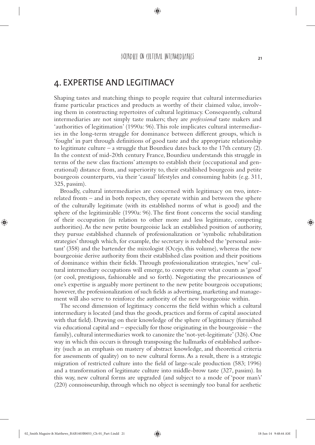BOURDIELL ON CULTURAL INTERMEDIARIES

◈

## 4. EXPERTISE AND LEGITIMACY

Shaping tastes and matching things to people require that cultural intermediaries frame particular practices and products as worthy of their claimed value, involving them in constructing repertoires of cultural legitimacy. Consequently, cultural intermediaries are not simply taste makers; they are *professional* taste makers and 'authorities of legitimation' (1990a: 96). This role implicates cultural intermediaries in the long-term struggle for dominance between different groups, which is 'fought' in part through definitions of good taste and the appropriate relationship to legitimate culture – a struggle that Bourdieu dates back to the 17th century  $(2)$ . In the context of mid-20th century France, Bourdieu understands this struggle in terms of the new class fractions' attempts to establish their (occupational and generational) distance from, and superiority to, their established bourgeois and petite bourgeois counterparts, via their 'casual' lifestyles and consuming habits (e.g. 311, 325, passim).

Broadly, cultural intermediaries are concerned with legitimacy on two, interrelated fronts – and in both respects, they operate within and between the sphere of the culturally legitimate (with its established norms of what is good) and the sphere of the legitimizable (1990a: 96). The first front concerns the social standing of their occupation (in relation to other more and less legitimate, competing authorities). As the new petite bourgeoisie lack an established position of authority, they pursue established channels of professionalization or 'symbolic rehabilitation strategies' through which, for example, the secretary is redubbed the 'personal assistant' (358) and the bartender the mixologist (Ocejo, this volume), whereas the new bourgeoisie derive authority from their established class position and their positions of dominance within their fields. Through professionalization strategies, 'new' cultural intermediary occupations will emerge, to compete over what counts as 'good' (or cool, prestigious, fashionable and so forth). Negotiating the precariousness of one's expertise is arguably more pertinent to the new petite bourgeois occupations; however, the professionalization of such fields as advertising, marketing and management will also serve to reinforce the authority of the new bourgeoisie within.

The second dimension of legitimacy concerns the field within which a cultural intermediary is located (and thus the goods, practices and forms of capital associated with that field). Drawing on their knowledge of the sphere of legitimacy (furnished via educational capital and – especially for those originating in the bourgeoisie – the family), cultural intermediaries work to canonize the 'not-yet-legitimate' (326). One way in which this occurs is through transposing the hallmarks of established authority (such as an emphasis on mastery of abstract knowledge, and theoretical criteria for assessments of quality) on to new cultural forms. As a result, there is a strategic migration of restricted culture into the field of large-scale production (583; 1996) and a transformation of legitimate culture into middle-brow taste (327, passim). In this way, new cultural forms are upgraded (and subject to a mode of 'poor man's' (220) connoisseurship, through which no object is seemingly too banal for aesthetic

21

◈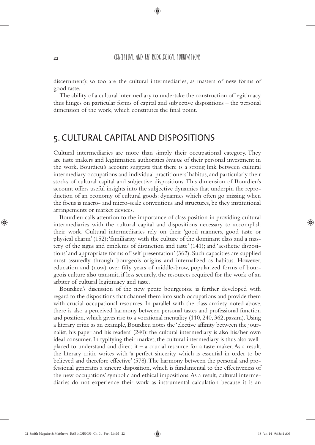◈

discernment); so too are the cultural intermediaries, as masters of new forms of good taste.

The ability of a cultural intermediary to undertake the construction of legitimacy thus hinges on particular forms of capital and subjective dispositions – the personal dimension of the work, which constitutes the final point.

## 5. CULTURAL CAPITAL AND DISPOSITIONS

Cultural intermediaries are more than simply their occupational category. They are taste makers and legitimation authorities *because* of their personal investment in the work. Bourdieu's account suggests that there is a strong link between cultural intermediary occupations and individual practitioners' habitus, and particularly their stocks of cultural capital and subjective dispositions. This dimension of Bourdieu's account offers useful insights into the subjective dynamics that underpin the reproduction of an economy of cultural goods: dynamics which often go missing when the focus is macro- and micro-scale conventions and structures, be they institutional arrangements or market devices.

Bourdieu calls attention to the importance of class position in providing cultural intermediaries with the cultural capital and dispositions necessary to accomplish their work. Cultural intermediaries rely on their 'good manners, good taste or physical charm' (152); 'familiarity with the culture of the dominant class and a mastery of the signs and emblems of distinction and taste' (141); and 'aesthetic dispositions' and appropriate forms of 'self-presentation' (362). Such capacities are supplied most assuredly through bourgeois origins and internalized as habitus. However, education and (now) over fifty years of middle-brow, popularized forms of bourgeois culture also transmit, if less securely, the resources required for the work of an arbiter of cultural legitimacy and taste.

Bourdieu's discussion of the new petite bourgeoisie is further developed with regard to the dispositions that channel them into such occupations and provide them with crucial occupational resources. In parallel with the class anxiety noted above, there is also a perceived harmony between personal tastes and professional function and position, which gives rise to a vocational mentality (110, 240, 362, passim). Using a literary critic as an example, Bourdieu notes the 'elective affinity between the journalist, his paper and his readers' (240): the cultural intermediary is also his/her own ideal consumer. In typifying their market, the cultural intermediary is thus also wellplaced to understand and direct it  $-$  a crucial resource for a taste maker. As a result, the literary critic writes with 'a perfect sincerity which is essential in order to be believed and therefore effective' (578). The harmony between the personal and professional generates a sincere disposition, which is fundamental to the effectiveness of the new occupations' symbolic and ethical impositions. As a result, cultural intermediaries do not experience their work as instrumental calculation because it is an

◈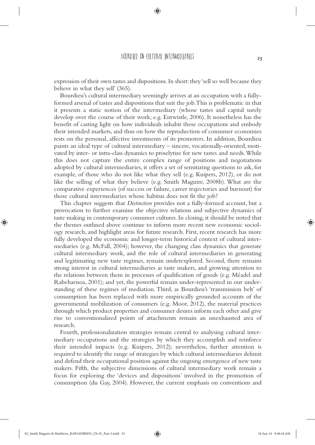#### BOURDIELL ON CULTURAL INTERMEDIARIES

◈

expression of their own tastes and dispositions. In short: they 'sell so well because they believe in what they sell' (365).

Bourdieu's cultural intermediary seemingly arrives at an occupation with a fullyformed arsenal of tastes and dispositions that suit the job. This is problematic in that it presents a static notion of the intermediary (whose tastes and capital surely develop over the course of their work; e.g. Entwistle, 2006). It nonetheless has the benefit of casting light on how individuals inhabit these occupations and embody their intended markets, and thus on how the reproduction of consumer economies rests on the personal, affective investments of its promoters. In addition, Bourdieu paints an ideal type of cultural intermediary – sincere, vocationally-oriented, motivated by inter- or intra-class dynamics to proselytize for new tastes and needs. While this does not capture the entire complex range of positions and negotiations adopted by cultural intermediaries, it offers a set of sensitizing questions to ask, for example, of those who do not like what they sell (e.g. Kuipers, 2012), or do not like the selling of what they believe (e.g. Smith Maguire, 2008b). What are the comparative experiences (of success or failure, career trajectories and burnout) for those cultural intermediaries whose habitus does not fit the job?

This chapter suggests that *Distinction* provides not a fully-formed account, but a provocation to further examine the objective relations and subjective dynamics of taste making in contemporary consumer cultures. In closing, it should be noted that the themes outlined above continue to inform more recent new economic sociology research, and highlight areas for future research. First, recent research has more fully developed the economic and longer-term historical context of cultural intermediaries (e.g. McFall, 2004); however, the changing class dynamics that generate cultural intermediary work, and the role of cultural intermediaries in generating and legitimating new taste regimes, remain underexplored. Second, there remains strong interest in cultural intermediaries as taste makers, and growing attention to the relations between them in processes of qualification of goods (e.g. Méadel and Rabeharisoa, 2001); and yet, the powerful remain under-represented in our understanding of these regimes of mediation. Third, as Bourdieu's 'transmission belt' of consumption has been replaced with more empirically grounded accounts of the governmental mobilization of consumers (e.g. Moor, 2012), the material practices through which product properties and consumer desires inform each other and give rise to conventionalized points of attachments remain an unexhausted area of research.

Fourth, professionalization strategies remain central to analysing cultural intermediary occupations and the strategies by which they accomplish and reinforce their intended impacts (e.g. Kuipers, 2012); nevertheless, further attention is required to identify the range of strategies by which cultural intermediaries delimit and defend their occupational position against the ongoing emergence of new taste makers. Fifth, the subjective dimensions of cultural intermediary work remain a focus for exploring the 'devices and dispositions' involved in the promotion of consumption (du Gay, 2004). However, the current emphasis on conventions and

23

◈